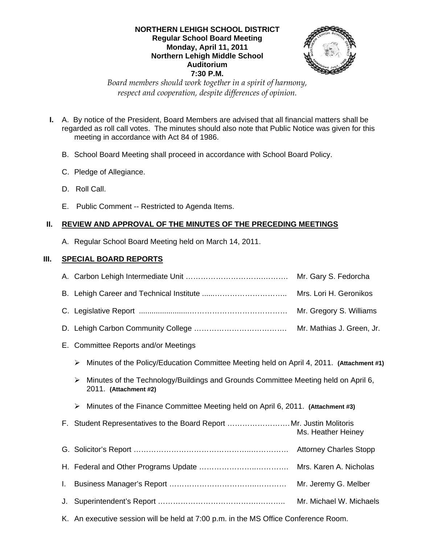### **NORTHERN LEHIGH SCHOOL DISTRICT Regular School Board Meeting Monday, April 11, 2011 Northern Lehigh Middle School Auditorium 7:30 P.M.**



*Board members should work together in a spirit of harmony, respect and cooperation, despite differences of opinion.* 

- **I.** A. By notice of the President, Board Members are advised that all financial matters shall be regarded as roll call votes. The minutes should also note that Public Notice was given for this meeting in accordance with Act 84 of 1986.
	- B. School Board Meeting shall proceed in accordance with School Board Policy.
	- C. Pledge of Allegiance.
	- D. Roll Call.
	- E. Public Comment -- Restricted to Agenda Items.

# **II. REVIEW AND APPROVAL OF THE MINUTES OF THE PRECEDING MEETINGS**

A. Regular School Board Meeting held on March 14, 2011.

# **III. SPECIAL BOARD REPORTS**

|    | Mr. Gary S. Fedorcha                                                                                             |  |  |
|----|------------------------------------------------------------------------------------------------------------------|--|--|
|    | Mrs. Lori H. Geronikos                                                                                           |  |  |
|    | Mr. Gregory S. Williams                                                                                          |  |  |
|    | Mr. Mathias J. Green, Jr.                                                                                        |  |  |
|    | E. Committee Reports and/or Meetings                                                                             |  |  |
|    | Minutes of the Policy/Education Committee Meeting held on April 4, 2011. (Attachment #1)<br>➤                    |  |  |
|    | Minutes of the Technology/Buildings and Grounds Committee Meeting held on April 6,<br>≻<br>2011. (Attachment #2) |  |  |
|    | Minutes of the Finance Committee Meeting held on April 6, 2011. (Attachment #3)<br>➤                             |  |  |
|    | F. Student Representatives to the Board Report Mr. Justin Molitoris<br>Ms. Heather Heiney                        |  |  |
|    | <b>Attorney Charles Stopp</b>                                                                                    |  |  |
|    | Mrs. Karen A. Nicholas                                                                                           |  |  |
| Ι. | Mr. Jeremy G. Melber                                                                                             |  |  |
| J. | Mr. Michael W. Michaels                                                                                          |  |  |
|    | K. An executive session will be held at 7:00 p.m. in the MS Office Conference Room.                              |  |  |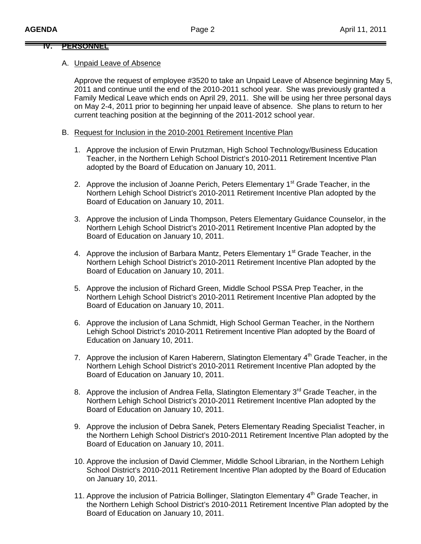### **IV. PERSONNEL**

#### A. Unpaid Leave of Absence

Approve the request of employee #3520 to take an Unpaid Leave of Absence beginning May 5, 2011 and continue until the end of the 2010-2011 school year. She was previously granted a Family Medical Leave which ends on April 29, 2011. She will be using her three personal days on May 2-4, 2011 prior to beginning her unpaid leave of absence. She plans to return to her current teaching position at the beginning of the 2011-2012 school year.

### B. Request for Inclusion in the 2010-2001 Retirement Incentive Plan

- 1. Approve the inclusion of Erwin Prutzman, High School Technology/Business Education Teacher, in the Northern Lehigh School District's 2010-2011 Retirement Incentive Plan adopted by the Board of Education on January 10, 2011.
- 2. Approve the inclusion of Joanne Perich, Peters Elementary 1<sup>st</sup> Grade Teacher, in the Northern Lehigh School District's 2010-2011 Retirement Incentive Plan adopted by the Board of Education on January 10, 2011.
- 3. Approve the inclusion of Linda Thompson, Peters Elementary Guidance Counselor, in the Northern Lehigh School District's 2010-2011 Retirement Incentive Plan adopted by the Board of Education on January 10, 2011.
- 4. Approve the inclusion of Barbara Mantz, Peters Elementary 1<sup>st</sup> Grade Teacher, in the Northern Lehigh School District's 2010-2011 Retirement Incentive Plan adopted by the Board of Education on January 10, 2011.
- 5. Approve the inclusion of Richard Green, Middle School PSSA Prep Teacher, in the Northern Lehigh School District's 2010-2011 Retirement Incentive Plan adopted by the Board of Education on January 10, 2011.
- 6. Approve the inclusion of Lana Schmidt, High School German Teacher, in the Northern Lehigh School District's 2010-2011 Retirement Incentive Plan adopted by the Board of Education on January 10, 2011.
- 7. Approve the inclusion of Karen Haberern, Slatington Elementary  $4<sup>th</sup>$  Grade Teacher, in the Northern Lehigh School District's 2010-2011 Retirement Incentive Plan adopted by the Board of Education on January 10, 2011.
- 8. Approve the inclusion of Andrea Fella, Slatington Elementary 3<sup>rd</sup> Grade Teacher, in the Northern Lehigh School District's 2010-2011 Retirement Incentive Plan adopted by the Board of Education on January 10, 2011.
- 9. Approve the inclusion of Debra Sanek, Peters Elementary Reading Specialist Teacher, in the Northern Lehigh School District's 2010-2011 Retirement Incentive Plan adopted by the Board of Education on January 10, 2011.
- 10. Approve the inclusion of David Clemmer, Middle School Librarian, in the Northern Lehigh School District's 2010-2011 Retirement Incentive Plan adopted by the Board of Education on January 10, 2011.
- 11. Approve the inclusion of Patricia Bollinger, Slatington Elementary 4<sup>th</sup> Grade Teacher, in the Northern Lehigh School District's 2010-2011 Retirement Incentive Plan adopted by the Board of Education on January 10, 2011.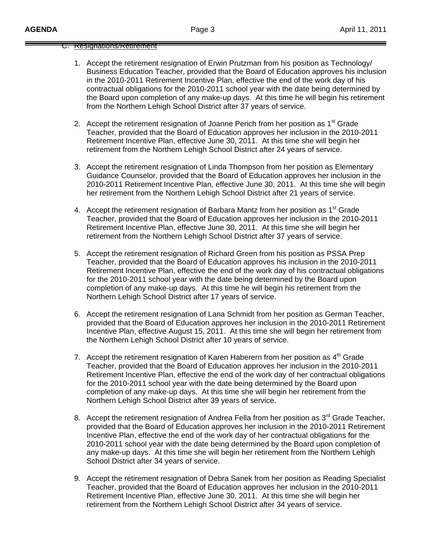### C. Resignations/Retirement

- 1. Accept the retirement resignation of Erwin Prutzman from his position as Technology/ Business Education Teacher, provided that the Board of Education approves his inclusion in the 2010-2011 Retirement Incentive Plan, effective the end of the work day of his contractual obligations for the 2010-2011 school year with the date being determined by the Board upon completion of any make-up days. At this time he will begin his retirement from the Northern Lehigh School District after 37 years of service.
- 2. Accept the retirement resignation of Joanne Perich from her position as 1<sup>st</sup> Grade Teacher, provided that the Board of Education approves her inclusion in the 2010-2011 Retirement Incentive Plan, effective June 30, 2011. At this time she will begin her retirement from the Northern Lehigh School District after 24 years of service.
- 3. Accept the retirement resignation of Linda Thompson from her position as Elementary Guidance Counselor, provided that the Board of Education approves her inclusion in the 2010-2011 Retirement Incentive Plan, effective June 30, 2011. At this time she will begin her retirement from the Northern Lehigh School District after 21 years of service.
- 4. Accept the retirement resignation of Barbara Mantz from her position as 1<sup>st</sup> Grade Teacher, provided that the Board of Education approves her inclusion in the 2010-2011 Retirement Incentive Plan, effective June 30, 2011. At this time she will begin her retirement from the Northern Lehigh School District after 37 years of service.
- 5. Accept the retirement resignation of Richard Green from his position as PSSA Prep Teacher, provided that the Board of Education approves his inclusion in the 2010-2011 Retirement Incentive Plan, effective the end of the work day of his contractual obligations for the 2010-2011 school year with the date being determined by the Board upon completion of any make-up days. At this time he will begin his retirement from the Northern Lehigh School District after 17 years of service.
- 6. Accept the retirement resignation of Lana Schmidt from her position as German Teacher, provided that the Board of Education approves her inclusion in the 2010-2011 Retirement Incentive Plan, effective August 15, 2011. At this time she will begin her retirement from the Northern Lehigh School District after 10 years of service.
- 7. Accept the retirement resignation of Karen Haberern from her position as  $4<sup>th</sup>$  Grade Teacher, provided that the Board of Education approves her inclusion in the 2010-2011 Retirement Incentive Plan, effective the end of the work day of her contractual obligations for the 2010-2011 school year with the date being determined by the Board upon completion of any make-up days. At this time she will begin her retirement from the Northern Lehigh School District after 39 years of service.
- 8. Accept the retirement resignation of Andrea Fella from her position as  $3<sup>rd</sup>$  Grade Teacher, provided that the Board of Education approves her inclusion in the 2010-2011 Retirement Incentive Plan, effective the end of the work day of her contractual obligations for the 2010-2011 school year with the date being determined by the Board upon completion of any make-up days. At this time she will begin her retirement from the Northern Lehigh School District after 34 years of service.
- 9. Accept the retirement resignation of Debra Sanek from her position as Reading Specialist Teacher, provided that the Board of Education approves her inclusion in the 2010-2011 Retirement Incentive Plan, effective June 30, 2011. At this time she will begin her retirement from the Northern Lehigh School District after 34 years of service.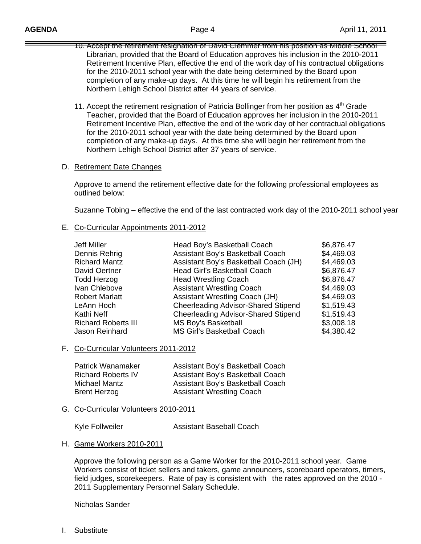- 10. Accept the retirement resignation of David Clemmer from his position as Middle School Librarian, provided that the Board of Education approves his inclusion in the 2010-2011 Retirement Incentive Plan, effective the end of the work day of his contractual obligations for the 2010-2011 school year with the date being determined by the Board upon completion of any make-up days. At this time he will begin his retirement from the Northern Lehigh School District after 44 years of service.
- 11. Accept the retirement resignation of Patricia Bollinger from her position as  $4<sup>th</sup>$  Grade Teacher, provided that the Board of Education approves her inclusion in the 2010-2011 Retirement Incentive Plan, effective the end of the work day of her contractual obligations for the 2010-2011 school year with the date being determined by the Board upon completion of any make-up days. At this time she will begin her retirement from the Northern Lehigh School District after 37 years of service.

### D. Retirement Date Changes

 Approve to amend the retirement effective date for the following professional employees as outlined below:

Suzanne Tobing – effective the end of the last contracted work day of the 2010-2011 school year

## E. Co-Curricular Appointments 2011-2012

| Jeff Miller                | Head Boy's Basketball Coach                | \$6,876.47 |
|----------------------------|--------------------------------------------|------------|
| Dennis Rehrig              | Assistant Boy's Basketball Coach           | \$4,469.03 |
| <b>Richard Mantz</b>       | Assistant Boy's Basketball Coach (JH)      | \$4,469.03 |
| <b>David Oertner</b>       | Head Girl's Basketball Coach               | \$6,876.47 |
| <b>Todd Herzog</b>         | <b>Head Wrestling Coach</b>                | \$6,876.47 |
| Ivan Chlebove              | <b>Assistant Wrestling Coach</b>           | \$4,469.03 |
| <b>Robert Marlatt</b>      | <b>Assistant Wrestling Coach (JH)</b>      | \$4,469.03 |
| LeAnn Hoch                 | <b>Cheerleading Advisor-Shared Stipend</b> | \$1,519.43 |
| Kathi Neff                 | <b>Cheerleading Advisor-Shared Stipend</b> | \$1,519.43 |
| <b>Richard Roberts III</b> | <b>MS Boy's Basketball</b>                 | \$3,008.18 |
| Jason Reinhard             | <b>MS Girl's Basketball Coach</b>          | \$4,380.42 |

### F. Co-Curricular Volunteers 2011-2012

| <b>Patrick Wanamaker</b>  | Assistant Boy's Basketball Coach |
|---------------------------|----------------------------------|
| <b>Richard Roberts IV</b> | Assistant Boy's Basketball Coach |
| Michael Mantz             | Assistant Boy's Basketball Coach |
| <b>Brent Herzog</b>       | <b>Assistant Wrestling Coach</b> |

### G. Co-Curricular Volunteers 2010-2011

Kyle Follweiler **Assistant Baseball Coach** 

### H. Game Workers 2010-2011

 Approve the following person as a Game Worker for the 2010-2011 school year. Game Workers consist of ticket sellers and takers, game announcers, scoreboard operators, timers, field judges, scorekeepers. Rate of pay is consistent with the rates approved on the 2010 - 2011 Supplementary Personnel Salary Schedule.

Nicholas Sander

I. Substitute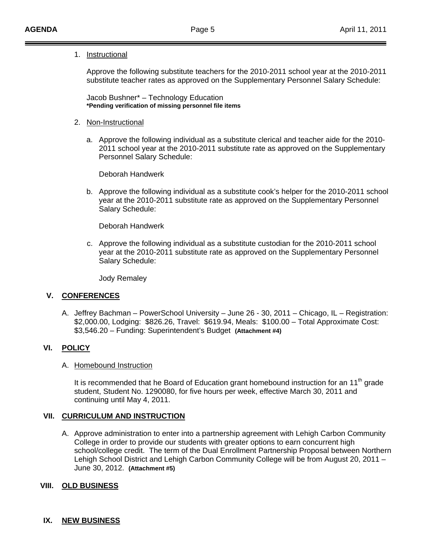### 1. Instructional

 Approve the following substitute teachers for the 2010-2011 school year at the 2010-2011 substitute teacher rates as approved on the Supplementary Personnel Salary Schedule:

 Jacob Bushner\* – Technology Education **\*Pending verification of missing personnel file items** 

### 2. Non-Instructional

a. Approve the following individual as a substitute clerical and teacher aide for the 2010- 2011 school year at the 2010-2011 substitute rate as approved on the Supplementary Personnel Salary Schedule:

Deborah Handwerk

b. Approve the following individual as a substitute cook's helper for the 2010-2011 school year at the 2010-2011 substitute rate as approved on the Supplementary Personnel Salary Schedule:

Deborah Handwerk

c. Approve the following individual as a substitute custodian for the 2010-2011 school year at the 2010-2011 substitute rate as approved on the Supplementary Personnel Salary Schedule:

Jody Remaley

## **V. CONFERENCES**

A. Jeffrey Bachman – PowerSchool University – June 26 - 30, 2011 – Chicago, IL – Registration: \$2,000.00, Lodging: \$826.26, Travel: \$619.94, Meals: \$100.00 – Total Approximate Cost: \$3,546.20 – Funding: Superintendent's Budget **(Attachment #4)**

## **VI. POLICY**

## A. Homebound Instruction

It is recommended that he Board of Education grant homebound instruction for an 11<sup>th</sup> grade student, Student No. 1290080, for five hours per week, effective March 30, 2011 and continuing until May 4, 2011.

## **VII. CURRICULUM AND INSTRUCTION**

A. Approve administration to enter into a partnership agreement with Lehigh Carbon Community College in order to provide our students with greater options to earn concurrent high school/college credit. The term of the Dual Enrollment Partnership Proposal between Northern Lehigh School District and Lehigh Carbon Community College will be from August 20, 2011 – June 30, 2012. **(Attachment #5)**

## **VIII. OLD BUSINESS**

## **IX. NEW BUSINESS**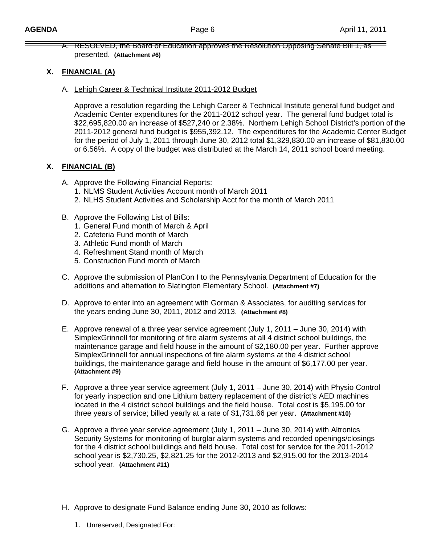A. RESOLVED, the Board of Education approves the Resolution Opposing Senate Bill 1, as presented. **(Attachment #6)**

## **X. FINANCIAL (A)**

A. Lehigh Career & Technical Institute 2011-2012 Budget

Approve a resolution regarding the Lehigh Career & Technical Institute general fund budget and Academic Center expenditures for the 2011-2012 school year. The general fund budget total is \$22,695,820.00 an increase of \$527,240 or 2.38%. Northern Lehigh School District's portion of the 2011-2012 general fund budget is \$955,392.12. The expenditures for the Academic Center Budget for the period of July 1, 2011 through June 30, 2012 total \$1,329,830.00 an increase of \$81,830.00 or 6.56%. A copy of the budget was distributed at the March 14, 2011 school board meeting.

## **X. FINANCIAL (B)**

- A. Approve the Following Financial Reports:
	- 1. NLMS Student Activities Account month of March 2011
	- 2. NLHS Student Activities and Scholarship Acct for the month of March 2011
- B. Approve the Following List of Bills:
	- 1. General Fund month of March & April
	- 2. Cafeteria Fund month of March
	- 3. Athletic Fund month of March
	- 4. Refreshment Stand month of March
	- 5. Construction Fund month of March
- C. Approve the submission of PlanCon I to the Pennsylvania Department of Education for the additions and alternation to Slatington Elementary School. **(Attachment #7)**
- D. Approve to enter into an agreement with Gorman & Associates, for auditing services for the years ending June 30, 2011, 2012 and 2013. **(Attachment #8)**
- E. Approve renewal of a three year service agreement (July 1, 2011 June 30, 2014) with SimplexGrinnell for monitoring of fire alarm systems at all 4 district school buildings, the maintenance garage and field house in the amount of \$2,180.00 per year. Further approve SimplexGrinnell for annual inspections of fire alarm systems at the 4 district school buildings, the maintenance garage and field house in the amount of \$6,177.00 per year. **(Attachment #9)**
- F. Approve a three year service agreement (July 1, 2011 June 30, 2014) with Physio Control for yearly inspection and one Lithium battery replacement of the district's AED machines located in the 4 district school buildings and the field house. Total cost is \$5,195.00 for three years of service; billed yearly at a rate of \$1,731.66 per year. **(Attachment #10)**
- G. Approve a three year service agreement (July 1, 2011 June 30, 2014) with Altronics Security Systems for monitoring of burglar alarm systems and recorded openings/closings for the 4 district school buildings and field house. Total cost for service for the 2011-2012 school year is \$2,730.25, \$2,821.25 for the 2012-2013 and \$2,915.00 for the 2013-2014 school year. **(Attachment #11)**
- H. Approve to designate Fund Balance ending June 30, 2010 as follows:
	- 1. Unreserved, Designated For: